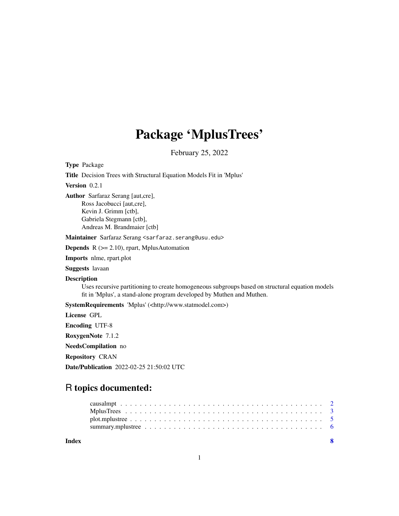## Package 'MplusTrees'

February 25, 2022

Type Package Title Decision Trees with Structural Equation Models Fit in 'Mplus' Version 0.2.1 Author Sarfaraz Serang [aut,cre], Ross Jacobucci [aut,cre], Kevin J. Grimm [ctb], Gabriela Stegmann [ctb], Andreas M. Brandmaier [ctb] Maintainer Sarfaraz Serang <sarfaraz.serang@usu.edu> **Depends**  $R$  ( $>= 2.10$ ), rpart, MplusAutomation Imports nlme, rpart.plot Suggests lavaan Description Uses recursive partitioning to create homogeneous subgroups based on structural equation models fit in 'Mplus', a stand-alone program developed by Muthen and Muthen. SystemRequirements 'Mplus' (<http://www.statmodel.com>) License GPL Encoding UTF-8 RoxygenNote 7.1.2 NeedsCompilation no Repository CRAN Date/Publication 2022-02-25 21:50:02 UTC

### R topics documented:

| Index | $\overline{\mathbf{S}}$ |  |
|-------|-------------------------|--|
|       |                         |  |
|       |                         |  |
|       |                         |  |
|       |                         |  |

1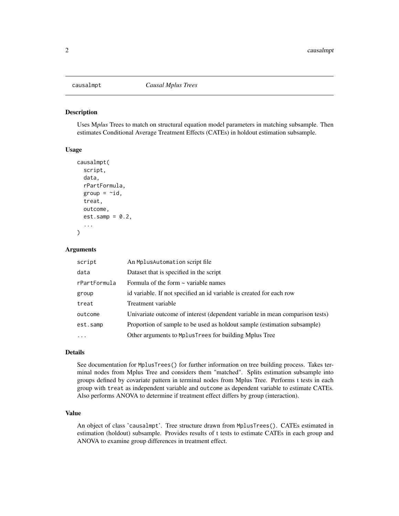<span id="page-1-0"></span>

#### Description

Uses M*plus* Trees to match on structural equation model parameters in matching subsample. Then estimates Conditional Average Treatment Effects (CATEs) in holdout estimation subsample.

#### Usage

```
causalmpt(
  script,
  data,
  rPartFormula,
  group = \simid,
  treat,
  outcome,
  est.samp = 0.2,
  ...
)
```
#### Arguments

| script       | An Mplus Automation script file                                              |
|--------------|------------------------------------------------------------------------------|
| data         | Dataset that is specified in the script                                      |
| rPartFormula | Formula of the form $\sim$ variable names                                    |
| group        | id variable. If not specified an id variable is created for each row         |
| treat        | Treatment variable                                                           |
| outcome      | Univariate outcome of interest (dependent variable in mean comparison tests) |
| est.samp     | Proportion of sample to be used as holdout sample (estimation subsample)     |
| $\cdot$      | Other arguments to MplusTrees for building Mplus Tree                        |

#### Details

See documentation for MplusTrees() for further information on tree building process. Takes terminal nodes from Mplus Tree and considers them "matched". Splits estimation subsample into groups defined by covariate pattern in terminal nodes from Mplus Tree. Performs t tests in each group with treat as independent variable and outcome as dependent variable to estimate CATEs. Also performs ANOVA to determine if treatment effect differs by group (interaction).

#### Value

An object of class 'causalmpt'. Tree structure drawn from MplusTrees(). CATEs estimated in estimation (holdout) subsample. Provides results of t tests to estimate CATEs in each group and ANOVA to examine group differences in treatment effect.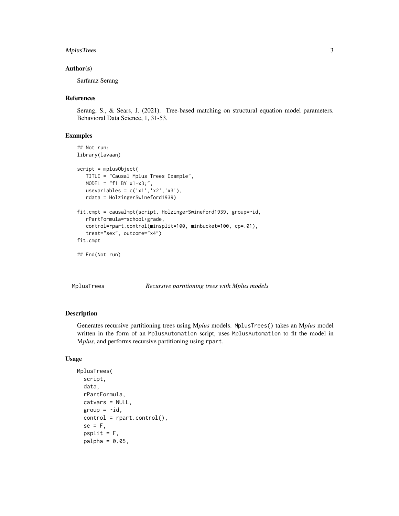#### <span id="page-2-0"></span>MplusTrees 3

#### Author(s)

Sarfaraz Serang

#### References

Serang, S., & Sears, J. (2021). Tree-based matching on structural equation model parameters. Behavioral Data Science, 1, 31-53.

#### Examples

```
## Not run:
library(lavaan)
script = mplusObject(
   TITLE = "Causal Mplus Trees Example",
   MODEL = "f1 BY x1-x3;"usevariables = c('x1','x2','x3'),
   rdata = HolzingerSwineford1939)
fit.cmpt = causalmpt(script, HolzingerSwineford1939, group=~id,
   rPartFormula=~school+grade,
   control=rpart.control(minsplit=100, minbucket=100, cp=.01),
   treat="sex", outcome="x4")
fit.cmpt
## End(Not run)
```
MplusTrees *Recursive partitioning trees with Mplus models*

#### Description

Generates recursive partitioning trees using M*plus* models. MplusTrees() takes an M*plus* model written in the form of an MplusAutomation script, uses MplusAutomation to fit the model in M*plus*, and performs recursive partitioning using rpart.

#### Usage

```
MplusTrees(
  script,
  data,
  rPartFormula,
  catvars = NULL,
  group = \simid,
  control = rpart.control(),
  se = F,
  psplit = F,
  palpha = 0.05,
```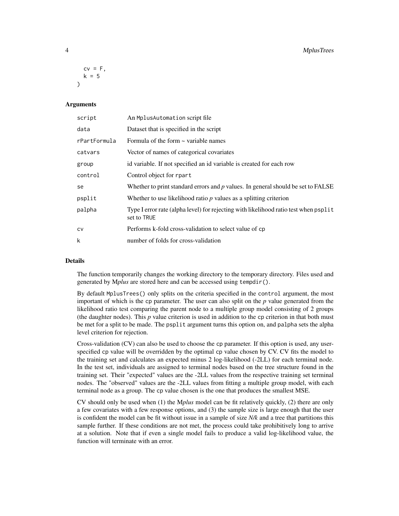#### 4 MplusTrees

```
cv = F.
 k = 5)
```
#### Arguments

| script       | An Mplus Automation script file                                                                     |
|--------------|-----------------------------------------------------------------------------------------------------|
| data         | Dataset that is specified in the script                                                             |
| rPartFormula | Formula of the form $\sim$ variable names                                                           |
| catvars      | Vector of names of categorical covariates                                                           |
| group        | id variable. If not specified an id variable is created for each row                                |
| control      | Control object for rpart                                                                            |
| se           | Whether to print standard errors and $p$ values. In general should be set to FALSE                  |
| psplit       | Whether to use likelihood ratio $p$ values as a splitting criterion                                 |
| palpha       | Type I error rate (alpha level) for rejecting with likelihood ratio test when psplit<br>set to TRUE |
| CV           | Performs k-fold cross-validation to select value of cp.                                             |
| k            | number of folds for cross-validation                                                                |

#### Details

The function temporarily changes the working directory to the temporary directory. Files used and generated by M*plus* are stored here and can be accessed using tempdir().

By default MplusTrees() only splits on the criteria specified in the control argument, the most important of which is the cp parameter. The user can also split on the *p* value generated from the likelihood ratio test comparing the parent node to a multiple group model consisting of 2 groups (the daughter nodes). This *p* value criterion is used in addition to the cp criterion in that both must be met for a split to be made. The psplit argument turns this option on, and palpha sets the alpha level criterion for rejection.

Cross-validation (CV) can also be used to choose the cp parameter. If this option is used, any userspecified cp value will be overridden by the optimal cp value chosen by CV. CV fits the model to the training set and calculates an expected minus 2 log-likelihood (-2LL) for each terminal node. In the test set, individuals are assigned to terminal nodes based on the tree structure found in the training set. Their "expected" values are the -2LL values from the respective training set terminal nodes. The "observed" values are the -2LL values from fitting a multiple group model, with each terminal node as a group. The cp value chosen is the one that produces the smallest MSE.

CV should only be used when (1) the M*plus* model can be fit relatively quickly, (2) there are only a few covariates with a few response options, and (3) the sample size is large enough that the user is confident the model can be fit without issue in a sample of size *N/k* and a tree that partitions this sample further. If these conditions are not met, the process could take prohibitively long to arrive at a solution. Note that if even a single model fails to produce a valid log-likelihood value, the function will terminate with an error.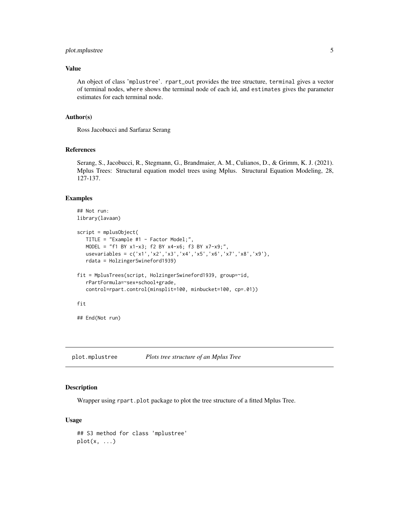#### <span id="page-4-0"></span>plot.mplustree 5

#### Value

An object of class 'mplustree'. rpart\_out provides the tree structure, terminal gives a vector of terminal nodes, where shows the terminal node of each id, and estimates gives the parameter estimates for each terminal node.

#### Author(s)

Ross Jacobucci and Sarfaraz Serang

#### References

Serang, S., Jacobucci, R., Stegmann, G., Brandmaier, A. M., Culianos, D., & Grimm, K. J. (2021). Mplus Trees: Structural equation model trees using Mplus. Structural Equation Modeling, 28, 127-137.

#### Examples

```
## Not run:
library(lavaan)
script = mplusObject(
  TITLE = "Example #1 - Factor Model;",
  MODEL = "f1 BY x1-x3; f2 BY x4-x6; f3 BY x7-x9;",
  usevariables = c('x1','x2','x3','x4','x5','x6','x7','x8','x9'),
  rdata = HolzingerSwineford1939)
fit = MplusTrees(script, HolzingerSwineford1939, group=~id,
  rPartFormula=~sex+school+grade,
  control=rpart.control(minsplit=100, minbucket=100, cp=.01))
fit
## End(Not run)
```
plot.mplustree *Plots tree structure of an Mplus Tree*

#### Description

Wrapper using rpart.plot package to plot the tree structure of a fitted Mplus Tree.

#### Usage

```
## S3 method for class 'mplustree'
plot(x, \ldots)
```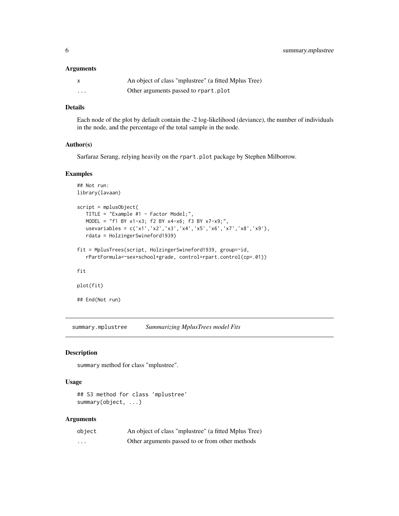#### <span id="page-5-0"></span>Arguments

|          | An object of class "mplustree" (a fitted Mplus Tree) |
|----------|------------------------------------------------------|
| $\cdots$ | Other arguments passed to rpart.plot                 |

#### Details

Each node of the plot by default contain the -2 log-likelihood (deviance), the number of individuals in the node, and the percentage of the total sample in the node.

#### Author(s)

Sarfaraz Serang, relying heavily on the rpart.plot package by Stephen Milborrow.

#### Examples

```
## Not run:
library(lavaan)
script = mplusObject(
  TITLE = "Example #1 - Factor Model;",
  MODEL = "f1 BY x1-x3; f2 BY x4-x6; f3 BY x7-x9;",
  usevariables = c('x1','x2','x3','x4','x5','x6','x7','x8','x9'),
   rdata = HolzingerSwineford1939)
fit = MplusTrees(script, HolzingerSwineford1939, group=~id,
   rPartFormula=~sex+school+grade, control=rpart.control(cp=.01))
fit
plot(fit)
## End(Not run)
```
summary.mplustree *Summarizing MplusTrees model Fits*

#### Description

summary method for class "mplustree".

#### Usage

## S3 method for class 'mplustree' summary(object, ...)

#### Arguments

| object   | An object of class "mplustree" (a fitted Mplus Tree) |
|----------|------------------------------------------------------|
| $\cdots$ | Other arguments passed to or from other methods      |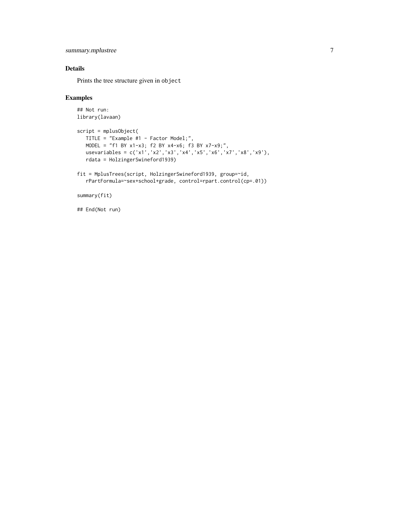```
summary.mplustree 7
```
#### Details

Prints the tree structure given in object

#### Examples

```
## Not run:
library(lavaan)
script = mplusObject(
   TITLE = "Example #1 - Factor Model;",
   MODEL = "f1 BY x1-x3; f2 BY x4-x6; f3 BY x7-x9;",
   usevariables = c('x1','x2','x3','x4','x5','x6','x7','x8','x9'),
   rdata = HolzingerSwineford1939)
fit = MplusTrees(script, HolzingerSwineford1939, group=~id,
   rPartFormula=~sex+school+grade, control=rpart.control(cp=.01))
```
summary(fit)

## End(Not run)